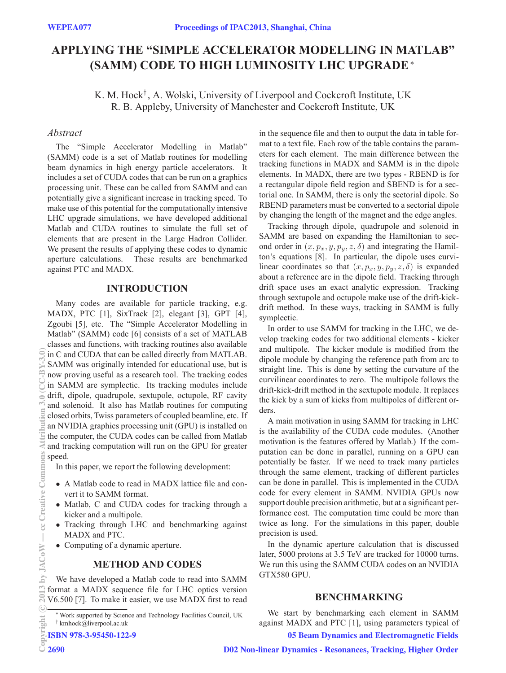# **APPLYING THE "SIMPLE ACCELERATOR MODELLING IN MATLAB" (SAMM) CODE TO HIGH LUMINOSITY LHC UPGRADE**<sup>∗</sup>

K. M. Hock† , A. Wolski, University of Liverpool and Cockcroft Institute, UK R. B. Appleby, University of Manchester and Cockcroft Institute, UK

## *Abstract*

The "Simple Accelerator Modelling in Matlab" (SAMM) code is a set of Matlab routines for modelling beam dynamics in high energy particle accelerators. It includes a set of CUDA codes that can be run on a graphics processing unit. These can be called from SAMM and can potentially give a significant increase in tracking speed. To make use of this potential for the computationally intensive LHC upgrade simulations, we have developed additional Matlab and CUDA routines to simulate the full set of elements that are present in the Large Hadron Collider. We present the results of applying these codes to dynamic aperture calculations. These results are benchmarked against PTC and MADX.

## **INTRODUCTION**

Many codes are available for particle tracking, e.g. MADX, PTC [1], SixTrack [2], elegant [3], GPT [4], Zgoubi [5], etc. The "Simple Accelerator Modelling in Matlab" (SAMM) code [6] consists of a set of MATLAB classes and functions, with tracking routines also available in C and CUDA that can be called directly from MATLAB. SAMM was originally intended for educational use, but is now proving useful as a research tool. The tracking codes in SAMM are symplectic. Its tracking modules include drift, dipole, quadrupole, sextupole, octupole, RF cavity and solenoid. It also has Matlab routines for computing closed orbits, Twiss parameters of coupled beamline, etc. If an NVIDIA graphics processing unit (GPU) is installed on the computer, the CUDA codes can be called from Matlab and tracking computation will run on the GPU for greater speed.

In this paper, we report the following development:

- A Matlab code to read in MADX lattice file and convert it to SAMM format.
- Matlab, C and CUDA codes for tracking through a kicker and a multipole.
- Tracking through LHC and benchmarking against MADX and PTC.
- Computing of a dynamic aperture.

#### **METHOD AND CODES**

We have developed a Matlab code to read into SAMM format a MADX sequence file for LHC optics version V6.500 [7]. To make it easier, we use MADX first to read

ISBN 978-3-95450-122-9

in the sequence file and then to output the data in table format to a text file. Each row of the table contains the parameters for each element. The main difference between the tracking functions in MADX and SAMM is in the dipole elements. In MADX, there are two types - RBEND is for a rectangular dipole field region and SBEND is for a sectorial one. In SAMM, there is only the sectorial dipole. So RBEND parameters must be converted to a sectorial dipole by changing the length of the magnet and the edge angles.

Tracking through dipole, quadrupole and solenoid in SAMM are based on expanding the Hamiltonian to second order in  $(x, p_x, y, p_y, z, \delta)$  and integrating the Hamilton's equations [8]. In particular, the dipole uses curvilinear coordinates so that  $(x, p_x, y, p_y, z, \delta)$  is expanded about a reference arc in the dipole field. Tracking through drift space uses an exact analytic expression. Tracking through sextupole and octupole make use of the drift-kickdrift method. In these ways, tracking in SAMM is fully symplectic.

In order to use SAMM for tracking in the LHC, we develop tracking codes for two additional elements - kicker and multipole. The kicker module is modified from the dipole module by changing the reference path from arc to straight line. This is done by setting the curvature of the curvilinear coordinates to zero. The multipole follows the drift-kick-drift method in the sextupole module. It replaces the kick by a sum of kicks from multipoles of different orders.

A main motivation in using SAMM for tracking in LHC is the availability of the CUDA code modules. (Another motivation is the features offered by Matlab.) If the computation can be done in parallel, running on a GPU can potentially be faster. If we need to track many particles through the same element, tracking of different particles can be done in parallel. This is implemented in the CUDA code for every element in SAMM. NVIDIA GPUs now support double precision arithmetic, but at a significant performance cost. The computation time could be more than twice as long. For the simulations in this paper, double precision is used.

In the dynamic aperture calculation that is discussed later, 5000 protons at 3.5 TeV are tracked for 10000 turns. We run this using the SAMM CUDA codes on an NVIDIA GTX580 GPU.

#### **BENCHMARKING**

We start by benchmarking each element in SAMM against MADX and PTC [1], using parameters typical of 05 Beam Dynamics and Electromagnetic Fields

D02 Non-linear Dynamics - Resonances, Tracking, Higher Order

<sup>∗</sup>Work supported by Science and Technology Facilities Council, UK † kmhock@liverpool.ac.uk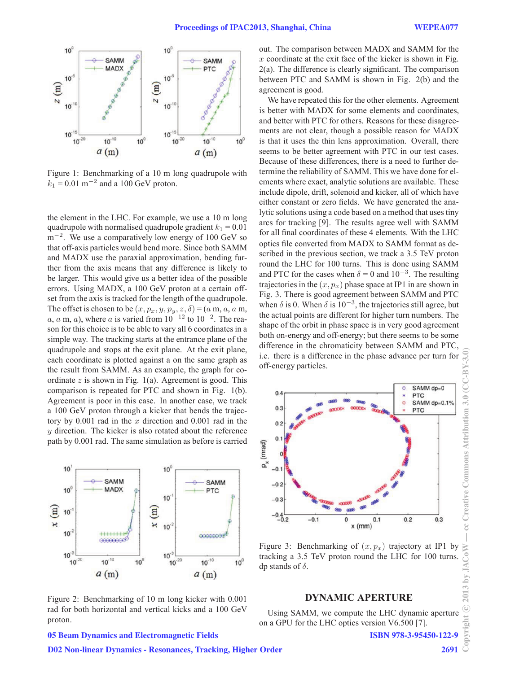

Figure 1: Benchmarking of a 10 m long quadrupole with  $k_1 = 0.01$  m<sup>-2</sup> and a 100 GeV proton.

the element in the LHC. For example, we use a 10 m long quadrupole with normalised quadrupole gradient  $k_1 = 0.01$  $m^{-2}$ . We use a comparatively low energy of 100 GeV so that off-axis particles would bend more. Since both SAMM and MADX use the paraxial approximation, bending further from the axis means that any difference is likely to be larger. This would give us a better idea of the possible errors. Using MADX, a 100 GeV proton at a certain offset from the axis is tracked for the length of the quadrupole. The offset is chosen to be  $(x, p_x, y, p_y, z, \delta) = (a \text{ m}, a, a \text{ m}, a)$ a, a m, a), where a is varied from  $10^{-12}$  to  $10^{-2}$ . The reason for this choice is to be able to vary all 6 coordinates in a simple way. The tracking starts at the entrance plane of the quadrupole and stops at the exit plane. At the exit plane, each coordinate is plotted against a on the same graph as the result from SAMM. As an example, the graph for coordinate  $z$  is shown in Fig. 1(a). Agreement is good. This comparison is repeated for PTC and shown in Fig. 1(b). Agreement is poor in this case. In another case, we track a 100 GeV proton through a kicker that bends the trajectory by  $0.001$  rad in the x direction and  $0.001$  rad in the y direction. The kicker is also rotated about the reference path by 0.001 rad. The same simulation as before is carried



Figure 2: Benchmarking of 10 m long kicker with 0.001 rad for both horizontal and vertical kicks and a 100 GeV proton.

out. The comparison between MADX and SAMM for the  $x$  coordinate at the exit face of the kicker is shown in Fig. 2(a). The difference is clearly significant. The comparison between PTC and SAMM is shown in Fig. 2(b) and the agreement is good.

We have repeated this for the other elements. Agreement is better with MADX for some elements and coordinates, and better with PTC for others. Reasons for these disagreements are not clear, though a possible reason for MADX is that it uses the thin lens approximation. Overall, there seems to be better agreement with PTC in our test cases. Because of these differences, there is a need to further determine the reliability of SAMM. This we have done for elements where exact, analytic solutions are available. These include dipole, drift, solenoid and kicker, all of which have either constant or zero fields. We have generated the analytic solutions using a code based on a method that uses tiny arcs for tracking [9]. The results agree well with SAMM for all final coordinates of these 4 elements. With the LHC optics file converted from MADX to SAMM format as described in the previous section, we track a 3.5 TeV proton round the LHC for 100 turns. This is done using SAMM and PTC for the cases when  $\delta = 0$  and  $10^{-3}$ . The resulting trajectories in the  $(x, p_x)$  phase space at IP1 in are shown in Fig. 3. There is good agreement between SAMM and PTC when  $\delta$  is 0. When  $\delta$  is 10<sup>-3</sup>, the trajectories still agree, but the actual points are different for higher turn numbers. The shape of the orbit in phase space is in very good agreement both on-energy and off-energy; but there seems to be some difference in the chromaticity between SAMM and PTC, i.e. there is a difference in the phase advance per turn for off-energy particles.



Figure 3: Benchmarking of  $(x, p_x)$  trajectory at IP1 by tracking a 3.5 TeV proton round the LHC for 100 turns. dp stands of  $\delta$ .

## **DYNAMIC APERTURE**

Using SAMM, we compute the LHC dynamic aperture on a GPU for the LHC optics version V6.500 [7].

05 Beam Dynamics and Electromagnetic Fields

D02 Non-linear Dynamics - Resonances, Tracking, Higher Order

ISBN 978-3-95450-122-9